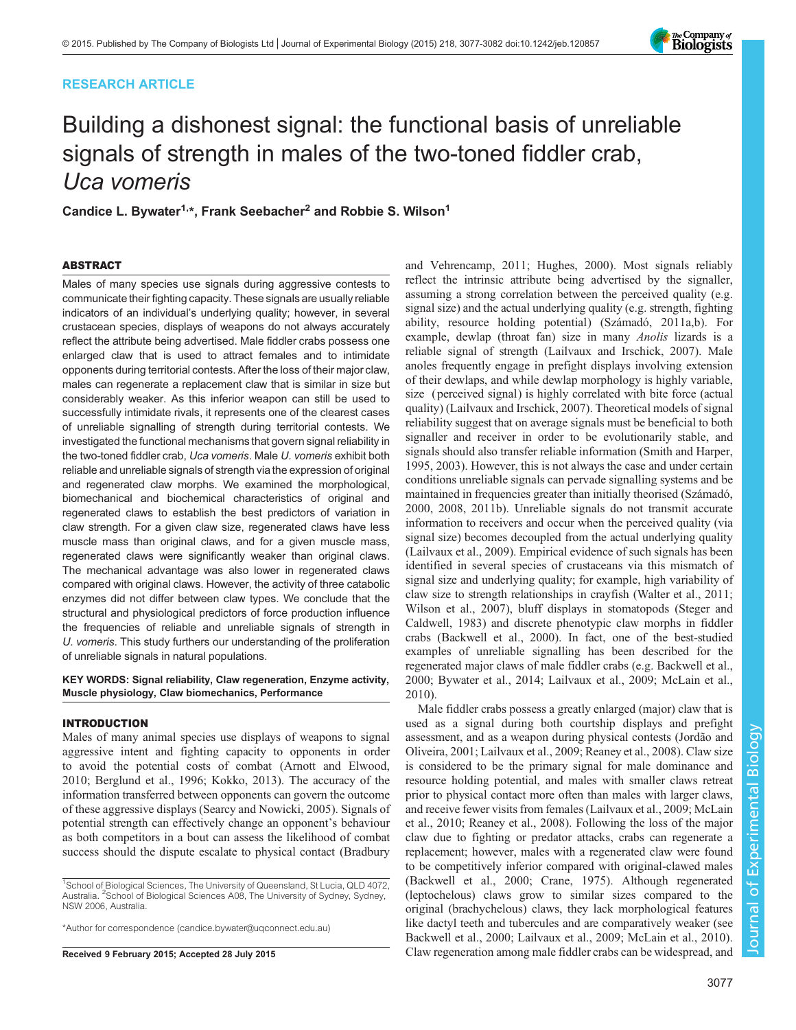# RESEARCH ARTICLE



Candice L. Bywater<sup>1,\*</sup>, Frank Seebacher<sup>2</sup> and Robbie S. Wilson<sup>1</sup>

# ABSTRACT

Males of many species use signals during aggressive contests to communicate their fighting capacity. These signals are usually reliable indicators of an individual's underlying quality; however, in several crustacean species, displays of weapons do not always accurately reflect the attribute being advertised. Male fiddler crabs possess one enlarged claw that is used to attract females and to intimidate opponents during territorial contests. After the loss of their major claw, males can regenerate a replacement claw that is similar in size but considerably weaker. As this inferior weapon can still be used to successfully intimidate rivals, it represents one of the clearest cases of unreliable signalling of strength during territorial contests. We investigated the functional mechanisms that govern signal reliability in the two-toned fiddler crab, Uca vomeris. Male U. vomeris exhibit both reliable and unreliable signals of strength via the expression of original and regenerated claw morphs. We examined the morphological, biomechanical and biochemical characteristics of original and regenerated claws to establish the best predictors of variation in claw strength. For a given claw size, regenerated claws have less muscle mass than original claws, and for a given muscle mass, regenerated claws were significantly weaker than original claws. The mechanical advantage was also lower in regenerated claws compared with original claws. However, the activity of three catabolic enzymes did not differ between claw types. We conclude that the structural and physiological predictors of force production influence the frequencies of reliable and unreliable signals of strength in U. vomeris. This study furthers our understanding of the proliferation of unreliable signals in natural populations.

KEY WORDS: Signal reliability, Claw regeneration, Enzyme activity, Muscle physiology, Claw biomechanics, Performance

### INTRODUCTION

Males of many animal species use displays of weapons to signal aggressive intent and fighting capacity to opponents in order to avoid the potential costs of combat [\(Arnott and Elwood,](#page-4-0) [2010](#page-4-0); [Berglund et al., 1996;](#page-4-0) [Kokko, 2013](#page-5-0)). The accuracy of the information transferred between opponents can govern the outcome of these aggressive displays [\(Searcy and Nowicki, 2005\)](#page-5-0). Signals of potential strength can effectively change an opponent's behaviour as both competitors in a bout can assess the likelihood of combat success should the dispute escalate to physical contact ([Bradbury](#page-4-0)

<sup>1</sup>School of Biological Sciences, The University of Queensland, St Lucia, QLD 4072, Australia. <sup>2</sup> School of Biological Sciences A08, The University of Sydney, Sydney, NSW 2006, Australia.

\*Author for correspondence [\(candice.bywater@uqconnect.edu.au](mailto:candice.bywater@uqconnect.edu.au))

[and Vehrencamp, 2011](#page-4-0); [Hughes, 2000\)](#page-5-0). Most signals reliably reflect the intrinsic attribute being advertised by the signaller, assuming a strong correlation between the perceived quality (e.g. signal size) and the actual underlying quality (e.g. strength, fighting ability, resource holding potential) ([Számadó, 2011a,b\)](#page-5-0). For example, dewlap (throat fan) size in many Anolis lizards is a reliable signal of strength ([Lailvaux and Irschick, 2007\)](#page-5-0). Male anoles frequently engage in prefight displays involving extension of their dewlaps, and while dewlap morphology is highly variable, size ( perceived signal) is highly correlated with bite force (actual quality) [\(Lailvaux and Irschick, 2007\)](#page-5-0). Theoretical models of signal reliability suggest that on average signals must be beneficial to both signaller and receiver in order to be evolutionarily stable, and signals should also transfer reliable information [\(Smith and Harper,](#page-5-0) [1995, 2003\)](#page-5-0). However, this is not always the case and under certain conditions unreliable signals can pervade signalling systems and be maintained in frequencies greater than initially theorised [\(Számadó,](#page-5-0) [2000, 2008](#page-5-0), [2011b](#page-5-0)). Unreliable signals do not transmit accurate information to receivers and occur when the perceived quality (via signal size) becomes decoupled from the actual underlying quality [\(Lailvaux et al., 2009\)](#page-5-0). Empirical evidence of such signals has been identified in several species of crustaceans via this mismatch of signal size and underlying quality; for example, high variability of claw size to strength relationships in crayfish [\(Walter et al., 2011](#page-5-0); [Wilson et al., 2007](#page-5-0)), bluff displays in stomatopods [\(Steger and](#page-5-0) [Caldwell, 1983](#page-5-0)) and discrete phenotypic claw morphs in fiddler crabs ([Backwell et al., 2000\)](#page-4-0). In fact, one of the best-studied examples of unreliable signalling has been described for the regenerated major claws of male fiddler crabs (e.g. [Backwell et al.,](#page-4-0) [2000; Bywater et al., 2014;](#page-4-0) [Lailvaux et al., 2009; McLain et al.,](#page-5-0) [2010\)](#page-5-0).

Male fiddler crabs possess a greatly enlarged (major) claw that is used as a signal during both courtship displays and prefight assessment, and as a weapon during physical contests [\(Jordão and](#page-5-0) [Oliveira, 2001](#page-5-0); [Lailvaux et al., 2009; Reaney et al., 2008\)](#page-5-0). Claw size is considered to be the primary signal for male dominance and resource holding potential, and males with smaller claws retreat prior to physical contact more often than males with larger claws, and receive fewer visits from females ([Lailvaux et al., 2009; McLain](#page-5-0) [et al., 2010](#page-5-0); [Reaney et al., 2008\)](#page-5-0). Following the loss of the major claw due to fighting or predator attacks, crabs can regenerate a replacement; however, males with a regenerated claw were found to be competitively inferior compared with original-clawed males [\(Backwell et al., 2000](#page-4-0); [Crane, 1975](#page-5-0)). Although regenerated (leptochelous) claws grow to similar sizes compared to the original (brachychelous) claws, they lack morphological features like dactyl teeth and tubercules and are comparatively weaker (see [Backwell et al., 2000;](#page-4-0) [Lailvaux et al., 2009; McLain et al., 2010\)](#page-5-0). Received 9 February 2015; Accepted 28 July 2015 Claw regeneration among male fiddler crabs can be widespread, and

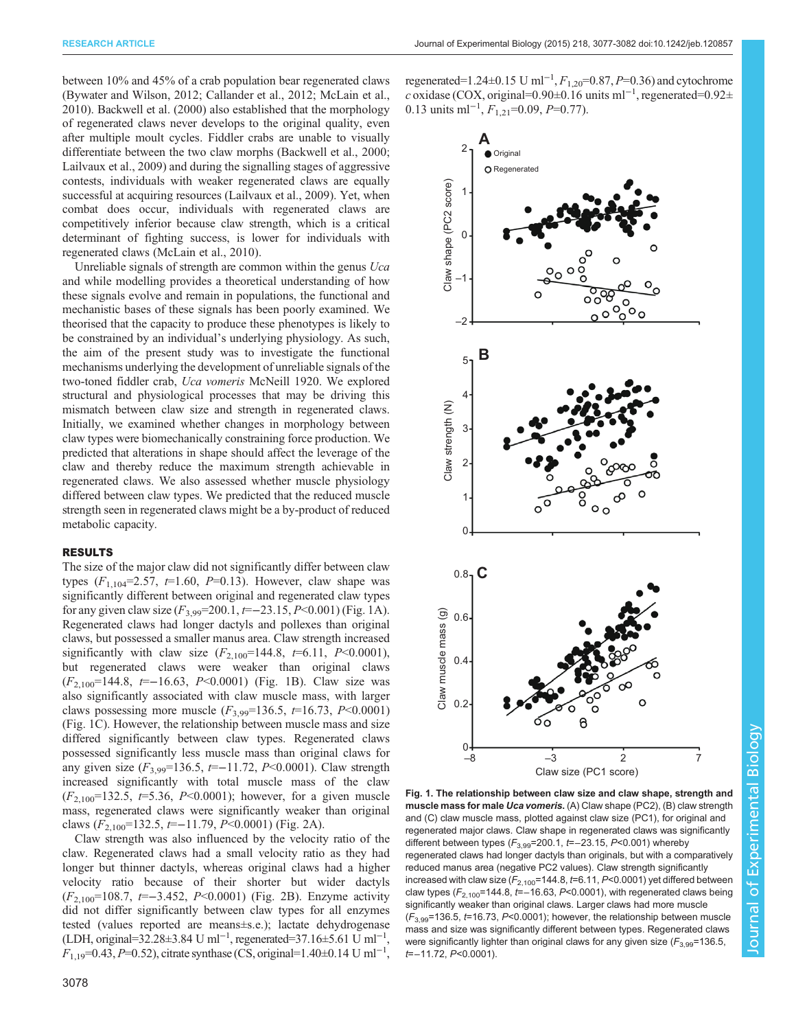between 10% and 45% of a crab population bear regenerated claws [\(Bywater and Wilson, 2012](#page-4-0); [Callander et al., 2012;](#page-4-0) [McLain et al.,](#page-5-0) [2010](#page-5-0)). [Backwell et al. \(2000\)](#page-4-0) also established that the morphology of regenerated claws never develops to the original quality, even after multiple moult cycles. Fiddler crabs are unable to visually differentiate between the two claw morphs [\(Backwell et al., 2000](#page-4-0); [Lailvaux et al., 2009](#page-5-0)) and during the signalling stages of aggressive contests, individuals with weaker regenerated claws are equally successful at acquiring resources ([Lailvaux et al., 2009\)](#page-5-0). Yet, when combat does occur, individuals with regenerated claws are competitively inferior because claw strength, which is a critical determinant of fighting success, is lower for individuals with regenerated claws ([McLain et al., 2010\)](#page-5-0).

Unreliable signals of strength are common within the genus Uca and while modelling provides a theoretical understanding of how these signals evolve and remain in populations, the functional and mechanistic bases of these signals has been poorly examined. We theorised that the capacity to produce these phenotypes is likely to be constrained by an individual's underlying physiology. As such, the aim of the present study was to investigate the functional mechanisms underlying the development of unreliable signals of the two-toned fiddler crab, Uca vomeris McNeill 1920. We explored structural and physiological processes that may be driving this mismatch between claw size and strength in regenerated claws. Initially, we examined whether changes in morphology between claw types were biomechanically constraining force production. We predicted that alterations in shape should affect the leverage of the claw and thereby reduce the maximum strength achievable in regenerated claws. We also assessed whether muscle physiology differed between claw types. We predicted that the reduced muscle strength seen in regenerated claws might be a by-product of reduced metabolic capacity.

### RESULTS

The size of the major claw did not significantly differ between claw types  $(F_{1,104}=2.57, t=1.60, P=0.13)$ . However, claw shape was significantly different between original and regenerated claw types for any given claw size  $(F_{3,99}=200.1, t=-23.15, P<0.001)$  (Fig. 1A). Regenerated claws had longer dactyls and pollexes than original claws, but possessed a smaller manus area. Claw strength increased significantly with claw size  $(F_{2,100} = 144.8, t = 6.11, P < 0.0001$ ), but regenerated claws were weaker than original claws  $(F_{2,100} = 144.8, t = -16.63, P < 0.0001)$  [\(Fig. 1B](#page-2-0)). Claw size was also significantly associated with claw muscle mass, with larger claws possessing more muscle  $(F_{3,99}=136.5, t=16.73, P<0.0001)$ (Fig. 1C). However, the relationship between muscle mass and size differed significantly between claw types. Regenerated claws possessed significantly less muscle mass than original claws for any given size  $(F_{3,99}=136.5, t=-11.72, P<0.0001)$ . Claw strength increased significantly with total muscle mass of the claw  $(F_{2,100}=132.5, t=5.36, P<0.0001)$ ; however, for a given muscle mass, regenerated claws were significantly weaker than original claws  $(F_{2,100} = 132.5, t = -11.79, P < 0.0001)$  [\(Fig. 2A\)](#page-2-0).

Claw strength was also influenced by the velocity ratio of the claw. Regenerated claws had a small velocity ratio as they had longer but thinner dactyls, whereas original claws had a higher velocity ratio because of their shorter but wider dactyls  $(F_{2,100}=108.7, t=-3.452, P<0.0001)$  ([Fig. 2B\)](#page-2-0). Enzyme activity did not differ significantly between claw types for all enzymes tested (values reported are means±s.e.); lactate dehydrogenase (LDH, original=32.28±3.84 U ml<sup>-1</sup>, regenerated=37.16±5.61 U ml<sup>-1</sup>,  $F_{1,19}=0.43, P=0.52$ ), citrate synthase (CS, original=1.40±0.14 U ml<sup>-1</sup>,





Fig. 1. The relationship between claw size and claw shape, strength and muscle mass for male Uca vomeris. (A) Claw shape (PC2), (B) claw strength and (C) claw muscle mass, plotted against claw size (PC1), for original and regenerated major claws. Claw shape in regenerated claws was significantly different between types ( $F_{3,99}$ =200.1, t=−23.15, P<0.001) whereby regenerated claws had longer dactyls than originals, but with a comparatively reduced manus area (negative PC2 values). Claw strength significantly increased with claw size  $(F_{2,100}$ =144.8, t=6.11, P<0.0001) yet differed between claw types ( $F_{2,100}$ =144.8, t=−16.63, P<0.0001), with regenerated claws being significantly weaker than original claws. Larger claws had more muscle  $(F_{3,99}=136.5, t=16.73, P<0.0001)$ ; however, the relationship between muscle mass and size was significantly different between types. Regenerated claws were significantly lighter than original claws for any given size ( $F_{3.99}$ =136.5, t=−11.72, P<0.0001).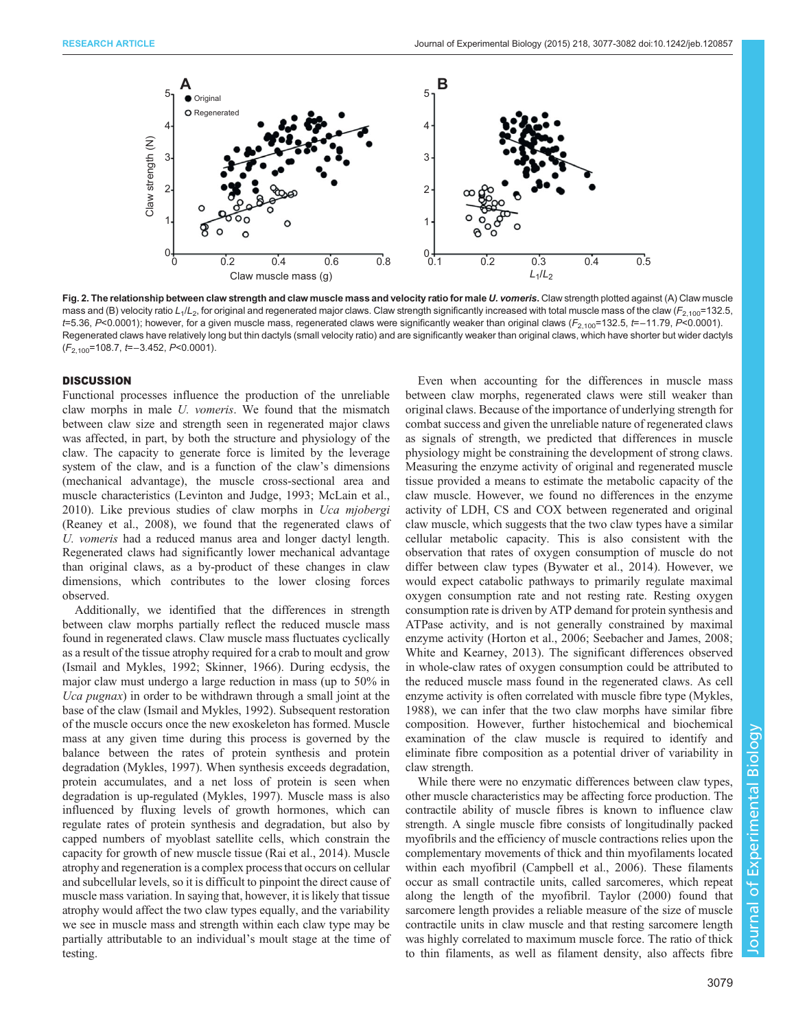<span id="page-2-0"></span>

Fig. 2. The relationship between claw strength and claw muscle mass and velocity ratio for male U. vomeris. Claw strength plotted against (A) Claw muscle mass and (B) velocity ratio  $L_1/L_2$ , for original and regenerated major claws. Claw strength significantly increased with total muscle mass of the claw ( $F_{2.100}$ =132.5, t=5.36, P<0.0001); however, for a given muscle mass, regenerated claws were significantly weaker than original claws ( $F_{2,100}$ =132.5, t=−11.79, P<0.0001). Regenerated claws have relatively long but thin dactyls (small velocity ratio) and are significantly weaker than original claws, which have shorter but wider dactyls (F2,100=108.7, t=−3.452, P<0.0001).

### **DISCUSSION**

Functional processes influence the production of the unreliable claw morphs in male U. vomeris. We found that the mismatch between claw size and strength seen in regenerated major claws was affected, in part, by both the structure and physiology of the claw. The capacity to generate force is limited by the leverage system of the claw, and is a function of the claw's dimensions (mechanical advantage), the muscle cross-sectional area and muscle characteristics ([Levinton and Judge, 1993](#page-5-0); [McLain et al.,](#page-5-0) [2010](#page-5-0)). Like previous studies of claw morphs in Uca mjobergi [\(Reaney et al., 2008](#page-5-0)), we found that the regenerated claws of U. vomeris had a reduced manus area and longer dactyl length. Regenerated claws had significantly lower mechanical advantage than original claws, as a by-product of these changes in claw dimensions, which contributes to the lower closing forces observed.

Additionally, we identified that the differences in strength between claw morphs partially reflect the reduced muscle mass found in regenerated claws. Claw muscle mass fluctuates cyclically as a result of the tissue atrophy required for a crab to moult and grow [\(Ismail and Mykles, 1992](#page-5-0); [Skinner, 1966](#page-5-0)). During ecdysis, the major claw must undergo a large reduction in mass (up to 50% in Uca pugnax) in order to be withdrawn through a small joint at the base of the claw ([Ismail and Mykles, 1992](#page-5-0)). Subsequent restoration of the muscle occurs once the new exoskeleton has formed. Muscle mass at any given time during this process is governed by the balance between the rates of protein synthesis and protein degradation ([Mykles, 1997](#page-5-0)). When synthesis exceeds degradation, protein accumulates, and a net loss of protein is seen when degradation is up-regulated [\(Mykles, 1997](#page-5-0)). Muscle mass is also influenced by fluxing levels of growth hormones, which can regulate rates of protein synthesis and degradation, but also by capped numbers of myoblast satellite cells, which constrain the capacity for growth of new muscle tissue [\(Rai et al., 2014](#page-5-0)). Muscle atrophy and regeneration is a complex process that occurs on cellular and subcellular levels, so it is difficult to pinpoint the direct cause of muscle mass variation. In saying that, however, it is likely that tissue atrophy would affect the two claw types equally, and the variability we see in muscle mass and strength within each claw type may be partially attributable to an individual's moult stage at the time of testing.

Even when accounting for the differences in muscle mass between claw morphs, regenerated claws were still weaker than original claws. Because of the importance of underlying strength for combat success and given the unreliable nature of regenerated claws as signals of strength, we predicted that differences in muscle physiology might be constraining the development of strong claws. Measuring the enzyme activity of original and regenerated muscle tissue provided a means to estimate the metabolic capacity of the claw muscle. However, we found no differences in the enzyme activity of LDH, CS and COX between regenerated and original claw muscle, which suggests that the two claw types have a similar cellular metabolic capacity. This is also consistent with the observation that rates of oxygen consumption of muscle do not differ between claw types ([Bywater et al., 2014\)](#page-4-0). However, we would expect catabolic pathways to primarily regulate maximal oxygen consumption rate and not resting rate. Resting oxygen consumption rate is driven by ATP demand for protein synthesis and ATPase activity, and is not generally constrained by maximal enzyme activity [\(Horton et al., 2006; Seebacher and James, 2008](#page-5-0); [White and Kearney, 2013](#page-5-0)). The significant differences observed in whole-claw rates of oxygen consumption could be attributed to the reduced muscle mass found in the regenerated claws. As cell enzyme activity is often correlated with muscle fibre type [\(Mykles,](#page-5-0) [1988\)](#page-5-0), we can infer that the two claw morphs have similar fibre composition. However, further histochemical and biochemical examination of the claw muscle is required to identify and eliminate fibre composition as a potential driver of variability in claw strength.

While there were no enzymatic differences between claw types, other muscle characteristics may be affecting force production. The contractile ability of muscle fibres is known to influence claw strength. A single muscle fibre consists of longitudinally packed myofibrils and the efficiency of muscle contractions relies upon the complementary movements of thick and thin myofilaments located within each myofibril ([Campbell et al., 2006](#page-4-0)). These filaments occur as small contractile units, called sarcomeres, which repeat along the length of the myofibril. [Taylor \(2000\)](#page-5-0) found that sarcomere length provides a reliable measure of the size of muscle contractile units in claw muscle and that resting sarcomere length was highly correlated to maximum muscle force. The ratio of thick to thin filaments, as well as filament density, also affects fibre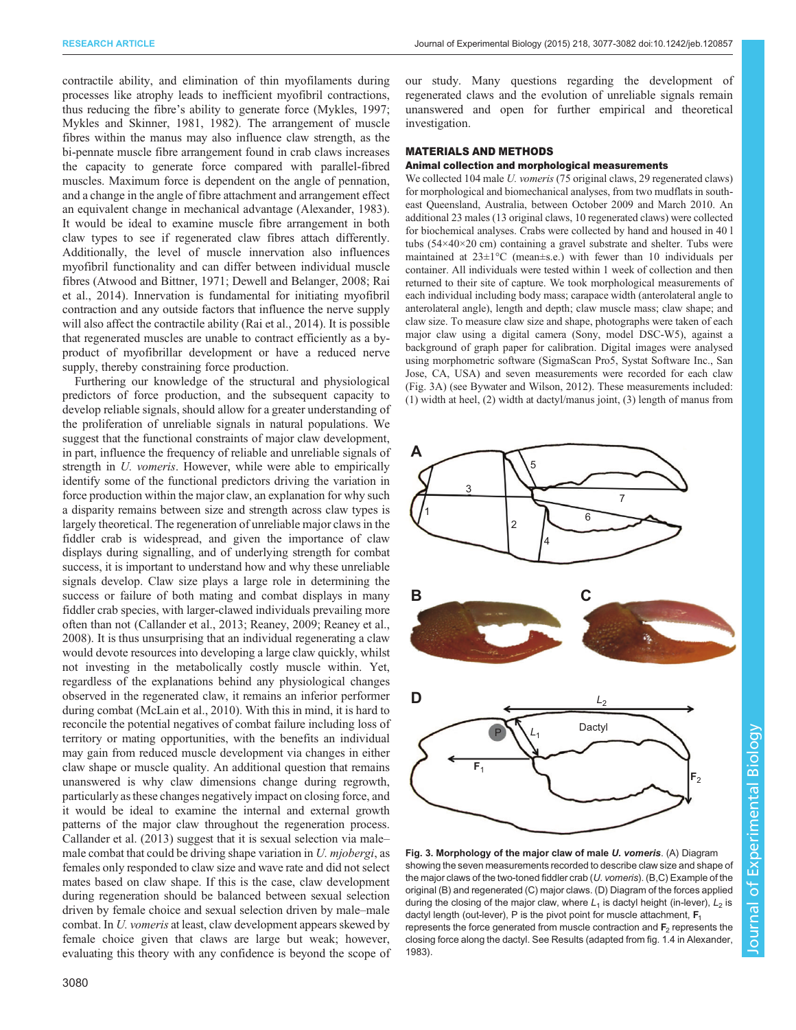<span id="page-3-0"></span>contractile ability, and elimination of thin myofilaments during processes like atrophy leads to inefficient myofibril contractions, thus reducing the fibre's ability to generate force [\(Mykles, 1997](#page-5-0); [Mykles and Skinner, 1981](#page-5-0), [1982](#page-5-0)). The arrangement of muscle fibres within the manus may also influence claw strength, as the bi-pennate muscle fibre arrangement found in crab claws increases the capacity to generate force compared with parallel-fibred muscles. Maximum force is dependent on the angle of pennation, and a change in the angle of fibre attachment and arrangement effect an equivalent change in mechanical advantage [\(Alexander, 1983\)](#page-4-0). It would be ideal to examine muscle fibre arrangement in both claw types to see if regenerated claw fibres attach differently. Additionally, the level of muscle innervation also influences myofibril functionality and can differ between individual muscle fibres ([Atwood and Bittner, 1971;](#page-4-0) [Dewell and Belanger, 2008; Rai](#page-5-0) [et al., 2014](#page-5-0)). Innervation is fundamental for initiating myofibril contraction and any outside factors that influence the nerve supply will also affect the contractile ability ([Rai et al., 2014](#page-5-0)). It is possible that regenerated muscles are unable to contract efficiently as a byproduct of myofibrillar development or have a reduced nerve supply, thereby constraining force production.

Furthering our knowledge of the structural and physiological predictors of force production, and the subsequent capacity to develop reliable signals, should allow for a greater understanding of the proliferation of unreliable signals in natural populations. We suggest that the functional constraints of major claw development, in part, influence the frequency of reliable and unreliable signals of strength in U. vomeris. However, while were able to empirically identify some of the functional predictors driving the variation in force production within the major claw, an explanation for why such a disparity remains between size and strength across claw types is largely theoretical. The regeneration of unreliable major claws in the fiddler crab is widespread, and given the importance of claw displays during signalling, and of underlying strength for combat success, it is important to understand how and why these unreliable signals develop. Claw size plays a large role in determining the success or failure of both mating and combat displays in many fiddler crab species, with larger-clawed individuals prevailing more often than not ([Callander et al., 2013](#page-4-0); [Reaney, 2009](#page-5-0); [Reaney et al.,](#page-5-0) [2008](#page-5-0)). It is thus unsurprising that an individual regenerating a claw would devote resources into developing a large claw quickly, whilst not investing in the metabolically costly muscle within. Yet, regardless of the explanations behind any physiological changes observed in the regenerated claw, it remains an inferior performer during combat ([McLain et al., 2010](#page-5-0)). With this in mind, it is hard to reconcile the potential negatives of combat failure including loss of territory or mating opportunities, with the benefits an individual may gain from reduced muscle development via changes in either claw shape or muscle quality. An additional question that remains unanswered is why claw dimensions change during regrowth, particularly as these changes negatively impact on closing force, and it would be ideal to examine the internal and external growth patterns of the major claw throughout the regeneration process. [Callander et al. \(2013\)](#page-4-0) suggest that it is sexual selection via male– male combat that could be driving shape variation in U. mjobergi, as females only responded to claw size and wave rate and did not select mates based on claw shape. If this is the case, claw development during regeneration should be balanced between sexual selection driven by female choice and sexual selection driven by male–male combat. In U. vomeris at least, claw development appears skewed by female choice given that claws are large but weak; however, evaluating this theory with any confidence is beyond the scope of

our study. Many questions regarding the development of regenerated claws and the evolution of unreliable signals remain unanswered and open for further empirical and theoretical investigation.

# MATERIALS AND METHODS

## Animal collection and morphological measurements

We collected 104 male U. vomeris (75 original claws, 29 regenerated claws) for morphological and biomechanical analyses, from two mudflats in southeast Queensland, Australia, between October 2009 and March 2010. An additional 23 males (13 original claws, 10 regenerated claws) were collected for biochemical analyses. Crabs were collected by hand and housed in 40 l tubs (54×40×20 cm) containing a gravel substrate and shelter. Tubs were maintained at 23±1°C (mean±s.e.) with fewer than 10 individuals per container. All individuals were tested within 1 week of collection and then returned to their site of capture. We took morphological measurements of each individual including body mass; carapace width (anterolateral angle to anterolateral angle), length and depth; claw muscle mass; claw shape; and claw size. To measure claw size and shape, photographs were taken of each major claw using a digital camera (Sony, model DSC-W5), against a background of graph paper for calibration. Digital images were analysed using morphometric software (SigmaScan Pro5, Systat Software Inc., San Jose, CA, USA) and seven measurements were recorded for each claw (Fig. 3A) (see [Bywater and Wilson, 2012\)](#page-4-0). These measurements included: (1) width at heel, (2) width at dactyl/manus joint, (3) length of manus from



Fig. 3. Morphology of the major claw of male U. vomeris. (A) Diagram showing the seven measurements recorded to describe claw size and shape of the major claws of the two-toned fiddler crab (U. vomeris). (B,C) Example of the original (B) and regenerated (C) major claws. (D) Diagram of the forces applied during the closing of the major claw, where  $L_1$  is dactyl height (in-lever),  $L_2$  is dactyl length (out-lever), P is the pivot point for muscle attachment,  $F_1$ represents the force generated from muscle contraction and  $F<sub>2</sub>$  represents the closing force along the dactyl. See Results (adapted from fig. 1.4 in [Alexander,](#page-4-0) [1983\)](#page-4-0).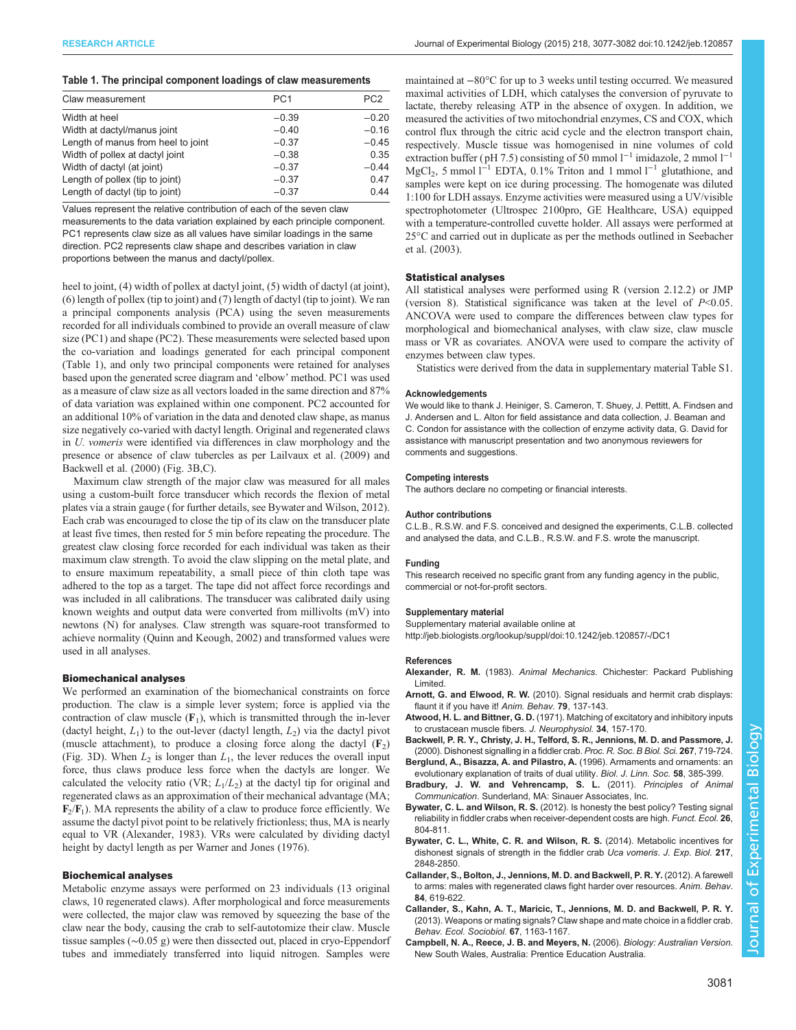### <span id="page-4-0"></span>RESEARCH ARTICLE **ARTICLE** ARTICLE ARTICLE **Journal of Experimental Biology (2015)** 218, 3077-3082 doi:10.1242/jeb.120857

#### Table 1. The principal component loadings of claw measurements

| PC <sub>1</sub> | PC <sub>2</sub> |
|-----------------|-----------------|
| $-0.39$         | $-0.20$         |
| $-0.40$         | $-0.16$         |
| $-0.37$         | $-0.45$         |
| $-0.38$         | 0.35            |
| $-0.37$         | $-0.44$         |
| $-0.37$         | 0.47            |
| $-0.37$         | 0.44            |
|                 |                 |

Values represent the relative contribution of each of the seven claw

measurements to the data variation explained by each principle component. PC1 represents claw size as all values have similar loadings in the same direction. PC2 represents claw shape and describes variation in claw proportions between the manus and dactyl/pollex.

heel to joint, (4) width of pollex at dactyl joint, (5) width of dactyl (at joint), (6) length of pollex (tip to joint) and (7) length of dactyl (tip to joint). We ran a principal components analysis (PCA) using the seven measurements recorded for all individuals combined to provide an overall measure of claw size (PC1) and shape (PC2). These measurements were selected based upon the co-variation and loadings generated for each principal component (Table 1), and only two principal components were retained for analyses based upon the generated scree diagram and 'elbow' method. PC1 was used as a measure of claw size as all vectors loaded in the same direction and 87% of data variation was explained within one component. PC2 accounted for an additional 10% of variation in the data and denoted claw shape, as manus size negatively co-varied with dactyl length. Original and regenerated claws in U. vomeris were identified via differences in claw morphology and the presence or absence of claw tubercles as per [Lailvaux et al. \(2009\)](#page-5-0) and Backwell et al. (2000) [\(Fig. 3B,C\)](#page-3-0).

Maximum claw strength of the major claw was measured for all males using a custom-built force transducer which records the flexion of metal plates via a strain gauge (for further details, see Bywater and Wilson, 2012). Each crab was encouraged to close the tip of its claw on the transducer plate at least five times, then rested for 5 min before repeating the procedure. The greatest claw closing force recorded for each individual was taken as their maximum claw strength. To avoid the claw slipping on the metal plate, and to ensure maximum repeatability, a small piece of thin cloth tape was adhered to the top as a target. The tape did not affect force recordings and was included in all calibrations. The transducer was calibrated daily using known weights and output data were converted from millivolts (mV) into newtons (N) for analyses. Claw strength was square-root transformed to achieve normality [\(Quinn and Keough, 2002\)](#page-5-0) and transformed values were used in all analyses.

#### Biomechanical analyses

We performed an examination of the biomechanical constraints on force production. The claw is a simple lever system; force is applied via the contraction of claw muscle  $(F_1)$ , which is transmitted through the in-lever (dactyl height,  $L_1$ ) to the out-lever (dactyl length,  $L_2$ ) via the dactyl pivot (muscle attachment), to produce a closing force along the dactyl  $(F_2)$ ([Fig. 3D](#page-3-0)). When  $L_2$  is longer than  $L_1$ , the lever reduces the overall input force, thus claws produce less force when the dactyls are longer. We calculated the velocity ratio (VR;  $L_1/L_2$ ) at the dactyl tip for original and regenerated claws as an approximation of their mechanical advantage (MA;  $\mathbf{F}_2/\mathbf{F}_1$ ). MA represents the ability of a claw to produce force efficiently. We assume the dactyl pivot point to be relatively frictionless; thus, MA is nearly equal to VR (Alexander, 1983). VRs were calculated by dividing dactyl height by dactyl length as per [Warner and Jones \(1976\)](#page-5-0).

### Biochemical analyses

Metabolic enzyme assays were performed on 23 individuals (13 original claws, 10 regenerated claws). After morphological and force measurements were collected, the major claw was removed by squeezing the base of the claw near the body, causing the crab to self-autotomize their claw. Muscle tissue samples (∼0.05 g) were then dissected out, placed in cryo-Eppendorf tubes and immediately transferred into liquid nitrogen. Samples were

maintained at −80°C for up to 3 weeks until testing occurred. We measured maximal activities of LDH, which catalyses the conversion of pyruvate to lactate, thereby releasing ATP in the absence of oxygen. In addition, we measured the activities of two mitochondrial enzymes, CS and COX, which control flux through the citric acid cycle and the electron transport chain, respectively. Muscle tissue was homogenised in nine volumes of cold extraction buffer ( pH 7.5) consisting of 50 mmol  $1^{-1}$  imidazole, 2 mmol  $1^{-1}$ MgCl<sub>2</sub>, 5 mmol  $l^{-1}$  EDTA, 0.1% Triton and 1 mmol  $l^{-1}$  glutathione, and samples were kept on ice during processing. The homogenate was diluted 1:100 for LDH assays. Enzyme activities were measured using a UV/visible spectrophotometer (Ultrospec 2100pro, GE Healthcare, USA) equipped with a temperature-controlled cuvette holder. All assays were performed at 25°C and carried out in duplicate as per the methods outlined in [Seebacher](#page-5-0) [et al. \(2003\)](#page-5-0).

### Statistical analyses

All statistical analyses were performed using R (version 2.12.2) or JMP (version 8). Statistical significance was taken at the level of  $P<0.05$ . ANCOVA were used to compare the differences between claw types for morphological and biomechanical analyses, with claw size, claw muscle mass or VR as covariates. ANOVA were used to compare the activity of enzymes between claw types.

Statistics were derived from the data in [supplementary material Table S1.](http://jeb.biologists.org/lookup/suppl/doi:10.1242/jeb.120857/-/DC1)

#### Acknowledgements

We would like to thank J. Heiniger, S. Cameron, T. Shuey, J. Pettitt, A. Findsen and J. Andersen and L. Alton for field assistance and data collection, J. Beaman and C. Condon for assistance with the collection of enzyme activity data, G. David for assistance with manuscript presentation and two anonymous reviewers for comments and suggestions.

### Competing interests

The authors declare no competing or financial interests.

#### Author contributions

C.L.B., R.S.W. and F.S. conceived and designed the experiments, C.L.B. collected and analysed the data, and C.L.B., R.S.W. and F.S. wrote the manuscript.

#### Funding

This research received no specific grant from any funding agency in the public, commercial or not-for-profit sectors.

### Supplementary material

Supplementary material available online at <http://jeb.biologists.org/lookup/suppl/doi:10.1242/jeb.120857/-/DC1>

#### References

- Alexander, R. M. (1983). Animal Mechanics. Chichester: Packard Publishing Limited.
- Arnott, G. and Elwood, R. W. [\(2010\). Signal residuals and hermit crab displays:](http://dx.doi.org/10.1016/j.anbehav.2009.10.011) [flaunt it if you have it!](http://dx.doi.org/10.1016/j.anbehav.2009.10.011) Anim. Behav. 79, 137-143.
- Atwood, H. L. and Bittner, G. D. (1971). Matching of excitatory and inhibitory inputs to crustacean muscle fibers. J. Neurophysiol. 34, 157-170.
- [Backwell, P. R. Y., Christy, J. H., Telford, S. R., Jennions, M. D. and Passmore, J.](http://dx.doi.org/10.1098/rspb.2000.1062) [\(2000\). Dishonest signalling in a fiddler crab.](http://dx.doi.org/10.1098/rspb.2000.1062) Proc. R. Soc. B Biol. Sci. 267, 719-724.
- [Berglund, A., Bisazza, A. and Pilastro, A.](http://dx.doi.org/10.1111/j.1095-8312.1996.tb01442.x) (1996). Armaments and ornaments: an [evolutionary explanation of traits of dual utility.](http://dx.doi.org/10.1111/j.1095-8312.1996.tb01442.x) Biol. J. Linn. Soc. 58, 385-399.
- Bradbury, J. W. and Vehrencamp, S. L. (2011). Principles of Animal Communication. Sunderland, MA: Sinauer Associates, Inc.
- Bywater, C. L. and Wilson, R. S. [\(2012\). Is honesty the best policy? Testing signal](http://dx.doi.org/10.1111/j.1365-2435.2012.02002.x) [reliability in fiddler crabs when receiver-dependent costs are high.](http://dx.doi.org/10.1111/j.1365-2435.2012.02002.x) Funct. Ecol. 26, [804-811.](http://dx.doi.org/10.1111/j.1365-2435.2012.02002.x)
- [Bywater, C. L., White, C. R. and Wilson, R. S.](http://dx.doi.org/10.1242/jeb.099390) (2014). Metabolic incentives for [dishonest signals of strength in the fiddler crab](http://dx.doi.org/10.1242/jeb.099390) Uca vomeris. J. Exp. Biol. 217, [2848-2850.](http://dx.doi.org/10.1242/jeb.099390)
- [Callander, S., Bolton, J., Jennions, M. D. and Backwell, P. R. Y.](http://dx.doi.org/10.1016/j.anbehav.2012.06.017) (2012). A farewell [to arms: males with regenerated claws fight harder over resources.](http://dx.doi.org/10.1016/j.anbehav.2012.06.017) Anim. Behav. 84, 619-622
- [Callander, S., Kahn, A. T., Maricic, T., Jennions, M. D. and Backwell, P. R. Y.](http://dx.doi.org/10.1007/s00265-013-1541-6) [\(2013\). Weapons or mating signals? Claw shape and mate choice in a fiddler crab.](http://dx.doi.org/10.1007/s00265-013-1541-6) [Behav. Ecol. Sociobiol.](http://dx.doi.org/10.1007/s00265-013-1541-6) 67, 1163-1167.
- Campbell, N. A., Reece, J. B. and Meyers, N. (2006). Biology: Australian Version. New South Wales, Australia: Prentice Education Australia.